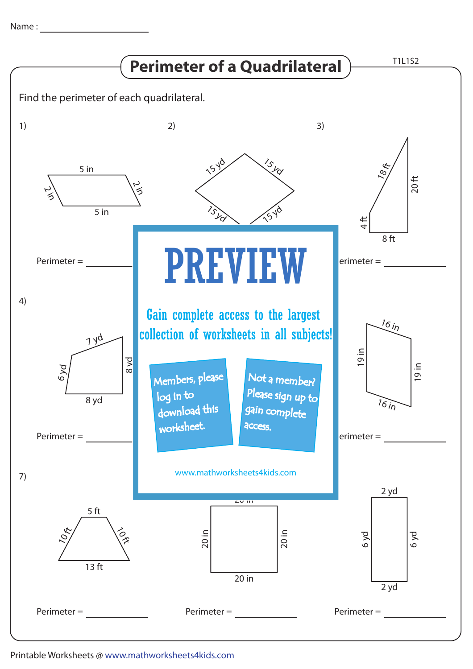